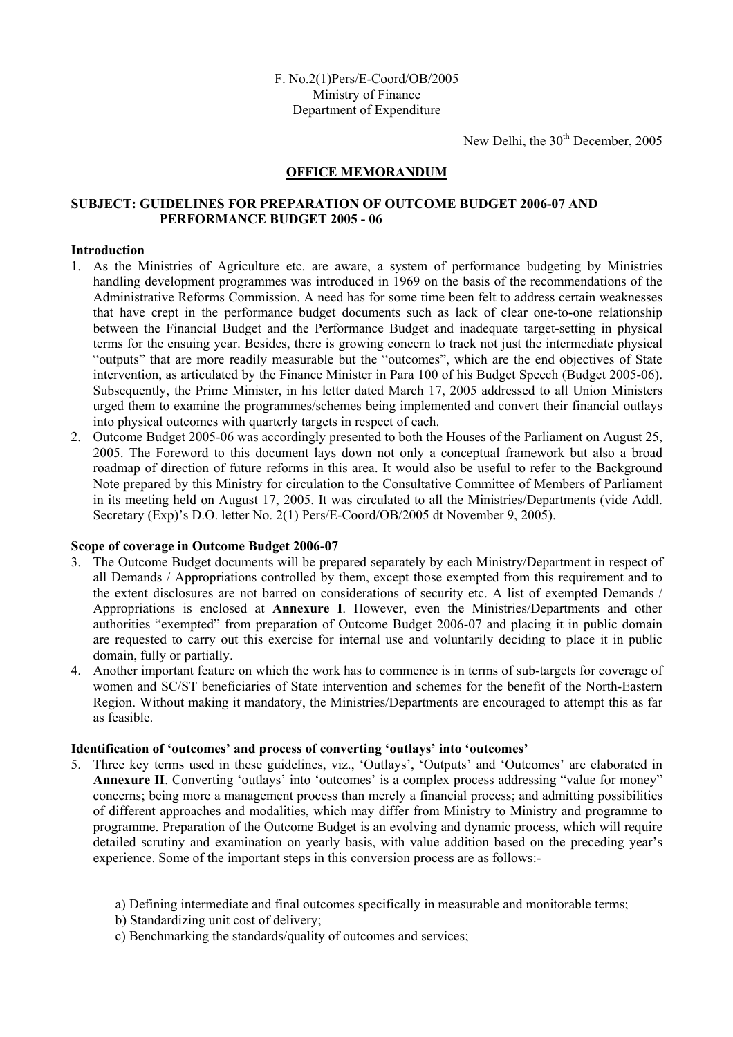New Delhi, the  $30<sup>th</sup>$  December, 2005

## **OFFICE MEMORANDUM**

## **SUBJECT: GUIDELINES FOR PREPARATION OF OUTCOME BUDGET 2006-07 AND PERFORMANCE BUDGET 2005 - 06**

## **Introduction**

- 1. As the Ministries of Agriculture etc. are aware, a system of performance budgeting by Ministries handling development programmes was introduced in 1969 on the basis of the recommendations of the Administrative Reforms Commission. A need has for some time been felt to address certain weaknesses that have crept in the performance budget documents such as lack of clear one-to-one relationship between the Financial Budget and the Performance Budget and inadequate target-setting in physical terms for the ensuing year. Besides, there is growing concern to track not just the intermediate physical "outputs" that are more readily measurable but the "outcomes", which are the end objectives of State intervention, as articulated by the Finance Minister in Para 100 of his Budget Speech (Budget 2005-06). Subsequently, the Prime Minister, in his letter dated March 17, 2005 addressed to all Union Ministers urged them to examine the programmes/schemes being implemented and convert their financial outlays into physical outcomes with quarterly targets in respect of each.
- 2. Outcome Budget 2005-06 was accordingly presented to both the Houses of the Parliament on August 25, 2005. The Foreword to this document lays down not only a conceptual framework but also a broad roadmap of direction of future reforms in this area. It would also be useful to refer to the Background Note prepared by this Ministry for circulation to the Consultative Committee of Members of Parliament in its meeting held on August 17, 2005. It was circulated to all the Ministries/Departments (vide Addl. Secretary (Exp)'s D.O. letter No. 2(1) Pers/E-Coord/OB/2005 dt November 9, 2005).

## **Scope of coverage in Outcome Budget 2006-07**

- 3. The Outcome Budget documents will be prepared separately by each Ministry/Department in respect of all Demands / Appropriations controlled by them, except those exempted from this requirement and to the extent disclosures are not barred on considerations of security etc. A list of exempted Demands / Appropriations is enclosed at **Annexure I**. However, even the Ministries/Departments and other authorities "exempted" from preparation of Outcome Budget 2006-07 and placing it in public domain are requested to carry out this exercise for internal use and voluntarily deciding to place it in public domain, fully or partially.
- 4. Another important feature on which the work has to commence is in terms of sub-targets for coverage of women and SC/ST beneficiaries of State intervention and schemes for the benefit of the North-Eastern Region. Without making it mandatory, the Ministries/Departments are encouraged to attempt this as far as feasible.

## **Identification of 'outcomes' and process of converting 'outlays' into 'outcomes'**

- 5. Three key terms used in these guidelines, viz., 'Outlays', 'Outputs' and 'Outcomes' are elaborated in **Annexure II**. Converting 'outlays' into 'outcomes' is a complex process addressing "value for money" concerns; being more a management process than merely a financial process; and admitting possibilities of different approaches and modalities, which may differ from Ministry to Ministry and programme to programme. Preparation of the Outcome Budget is an evolving and dynamic process, which will require detailed scrutiny and examination on yearly basis, with value addition based on the preceding year's experience. Some of the important steps in this conversion process are as follows:
	- a) Defining intermediate and final outcomes specifically in measurable and monitorable terms;
	- b) Standardizing unit cost of delivery;
	- c) Benchmarking the standards/quality of outcomes and services;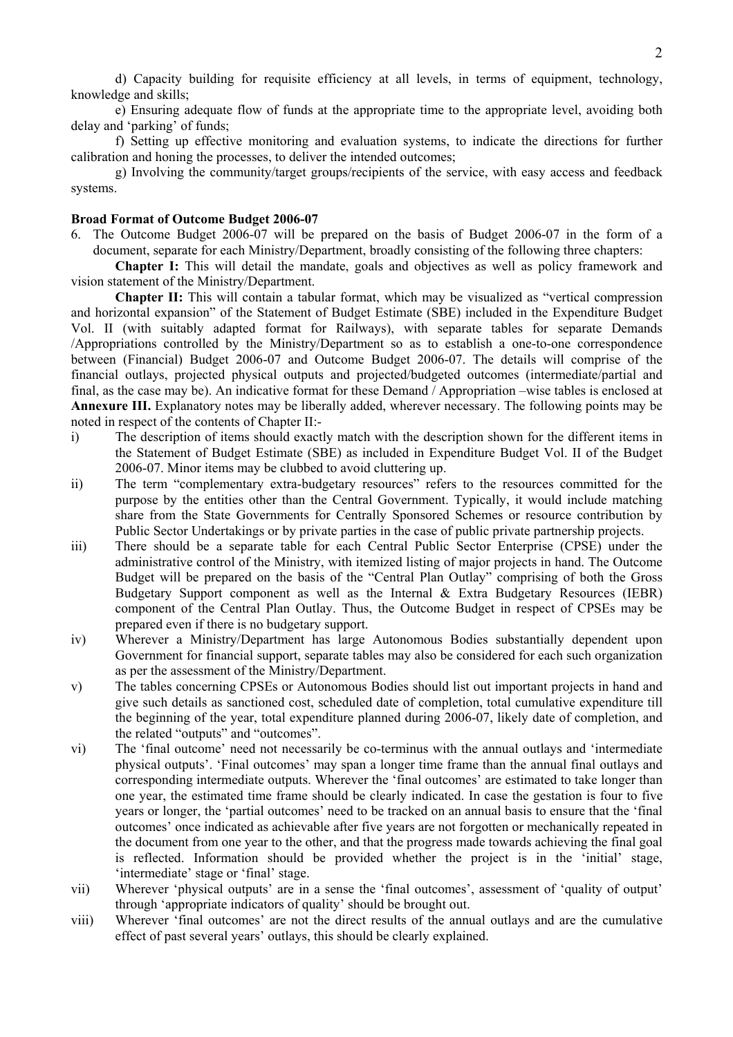d) Capacity building for requisite efficiency at all levels, in terms of equipment, technology, knowledge and skills;

e) Ensuring adequate flow of funds at the appropriate time to the appropriate level, avoiding both delay and 'parking' of funds;

f) Setting up effective monitoring and evaluation systems, to indicate the directions for further calibration and honing the processes, to deliver the intended outcomes;

g) Involving the community/target groups/recipients of the service, with easy access and feedback systems.

#### **Broad Format of Outcome Budget 2006-07**

6. The Outcome Budget 2006-07 will be prepared on the basis of Budget 2006-07 in the form of a document, separate for each Ministry/Department, broadly consisting of the following three chapters:

**Chapter I:** This will detail the mandate, goals and objectives as well as policy framework and vision statement of the Ministry/Department.

**Chapter II:** This will contain a tabular format, which may be visualized as "vertical compression and horizontal expansion" of the Statement of Budget Estimate (SBE) included in the Expenditure Budget Vol. II (with suitably adapted format for Railways), with separate tables for separate Demands /Appropriations controlled by the Ministry/Department so as to establish a one-to-one correspondence between (Financial) Budget 2006-07 and Outcome Budget 2006-07. The details will comprise of the financial outlays, projected physical outputs and projected/budgeted outcomes (intermediate/partial and final, as the case may be). An indicative format for these Demand / Appropriation –wise tables is enclosed at **Annexure III.** Explanatory notes may be liberally added, wherever necessary. The following points may be noted in respect of the contents of Chapter II:-

- i) The description of items should exactly match with the description shown for the different items in the Statement of Budget Estimate (SBE) as included in Expenditure Budget Vol. II of the Budget 2006-07. Minor items may be clubbed to avoid cluttering up.
- ii) The term "complementary extra-budgetary resources" refers to the resources committed for the purpose by the entities other than the Central Government. Typically, it would include matching share from the State Governments for Centrally Sponsored Schemes or resource contribution by Public Sector Undertakings or by private parties in the case of public private partnership projects.
- iii) There should be a separate table for each Central Public Sector Enterprise (CPSE) under the administrative control of the Ministry, with itemized listing of major projects in hand. The Outcome Budget will be prepared on the basis of the "Central Plan Outlay" comprising of both the Gross Budgetary Support component as well as the Internal & Extra Budgetary Resources (IEBR) component of the Central Plan Outlay. Thus, the Outcome Budget in respect of CPSEs may be prepared even if there is no budgetary support.
- iv) Wherever a Ministry/Department has large Autonomous Bodies substantially dependent upon Government for financial support, separate tables may also be considered for each such organization as per the assessment of the Ministry/Department.
- v) The tables concerning CPSEs or Autonomous Bodies should list out important projects in hand and give such details as sanctioned cost, scheduled date of completion, total cumulative expenditure till the beginning of the year, total expenditure planned during 2006-07, likely date of completion, and the related "outputs" and "outcomes".
- vi) The 'final outcome' need not necessarily be co-terminus with the annual outlays and 'intermediate physical outputs'. 'Final outcomes' may span a longer time frame than the annual final outlays and corresponding intermediate outputs. Wherever the 'final outcomes' are estimated to take longer than one year, the estimated time frame should be clearly indicated. In case the gestation is four to five years or longer, the 'partial outcomes' need to be tracked on an annual basis to ensure that the 'final outcomes' once indicated as achievable after five years are not forgotten or mechanically repeated in the document from one year to the other, and that the progress made towards achieving the final goal is reflected. Information should be provided whether the project is in the 'initial' stage, 'intermediate' stage or 'final' stage.
- vii) Wherever 'physical outputs' are in a sense the 'final outcomes', assessment of 'quality of output' through 'appropriate indicators of quality' should be brought out.
- viii) Wherever 'final outcomes' are not the direct results of the annual outlays and are the cumulative effect of past several years' outlays, this should be clearly explained.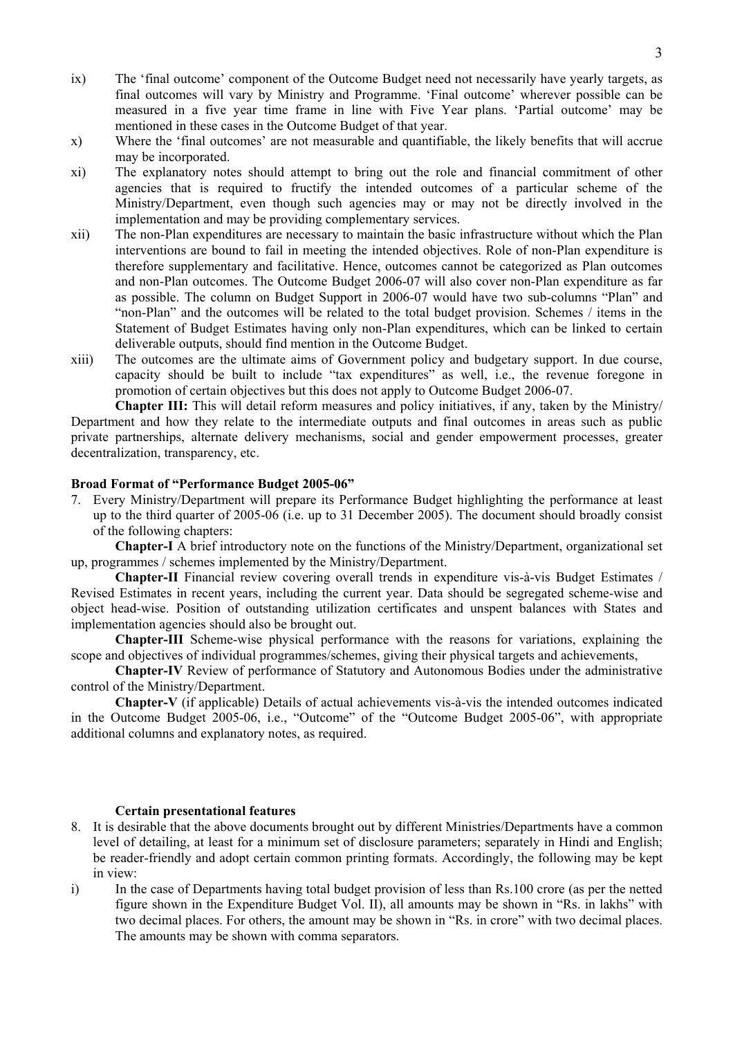- ix) The 'final outcome' component of the Outcome Budget need not necessarily have yearly targets, as final outcomes will vary by Ministry and Programme. 'Final outcome' wherever possible can be measured in a five year time frame in line with Five Year plans. 'Partial outcome' may be mentioned in these cases in the Outcome Budget of that year.
- x) Where the 'final outcomes' are not measurable and quantifiable, the likely benefits that will accrue may be incorporated.
- xi) The explanatory notes should attempt to bring out the role and financial commitment of other agencies that is required to fructify the intended outcomes of a particular scheme of the Ministry/Department, even though such agencies may or may not be directly involved in the implementation and may be providing complementary services.
- xii) The non-Plan expenditures are necessary to maintain the basic infrastructure without which the Plan interventions are bound to fail in meeting the intended objectives. Role of non-Plan expenditure is therefore supplementary and facilitative. Hence, outcomes cannot be categorized as Plan outcomes and non-Plan outcomes. The Outcome Budget 2006-07 will also cover non-Plan expenditure as far as possible. The column on Budget Support in 2006-07 would have two sub-columns "Plan" and "non-Plan" and the outcomes will be related to the total budget provision. Schemes / items in the Statement of Budget Estimates having only non-Plan expenditures, which can be linked to certain deliverable outputs, should find mention in the Outcome Budget.
- xiii) The outcomes are the ultimate aims of Government policy and budgetary support. In due course, capacity should be built to include "tax expenditures" as well, i.e., the revenue foregone in promotion of certain objectives but this does not apply to Outcome Budget 2006-07.

**Chapter III:** This will detail reform measures and policy initiatives, if any, taken by the Ministry/ Department and how they relate to the intermediate outputs and final outcomes in areas such as public private partnerships, alternate delivery mechanisms, social and gender empowerment processes, greater decentralization, transparency, etc.

#### **Broad Format of "Performance Budget 2005-06"**

7. Every Ministry/Department will prepare its Performance Budget highlighting the performance at least up to the third quarter of 2005-06 (i.e. up to 31 December 2005). The document should broadly consist of the following chapters:

**Chapter-I** A brief introductory note on the functions of the Ministry/Department, organizational set up, programmes / schemes implemented by the Ministry/Department.

**Chapter-II** Financial review covering overall trends in expenditure vis-à-vis Budget Estimates / Revised Estimates in recent years, including the current year. Data should be segregated scheme-wise and object head-wise. Position of outstanding utilization certificates and unspent balances with States and implementation agencies should also be brought out.

**Chapter-III** Scheme-wise physical performance with the reasons for variations, explaining the scope and objectives of individual programmes/schemes, giving their physical targets and achievements,

**Chapter-IV** Review of performance of Statutory and Autonomous Bodies under the administrative control of the Ministry/Department.

**Chapter-V** (if applicable) Details of actual achievements vis-à-vis the intended outcomes indicated in the Outcome Budget 2005-06, i.e., "Outcome" of the "Outcome Budget 2005-06", with appropriate additional columns and explanatory notes, as required.

#### **Certain presentational features**

- 8. It is desirable that the above documents brought out by different Ministries/Departments have a common level of detailing, at least for a minimum set of disclosure parameters; separately in Hindi and English; be reader-friendly and adopt certain common printing formats. Accordingly, the following may be kept in view:
- i) In the case of Departments having total budget provision of less than Rs.100 crore (as per the netted figure shown in the Expenditure Budget Vol. II), all amounts may be shown in "Rs. in lakhs" with two decimal places. For others, the amount may be shown in "Rs. in crore" with two decimal places. The amounts may be shown with comma separators.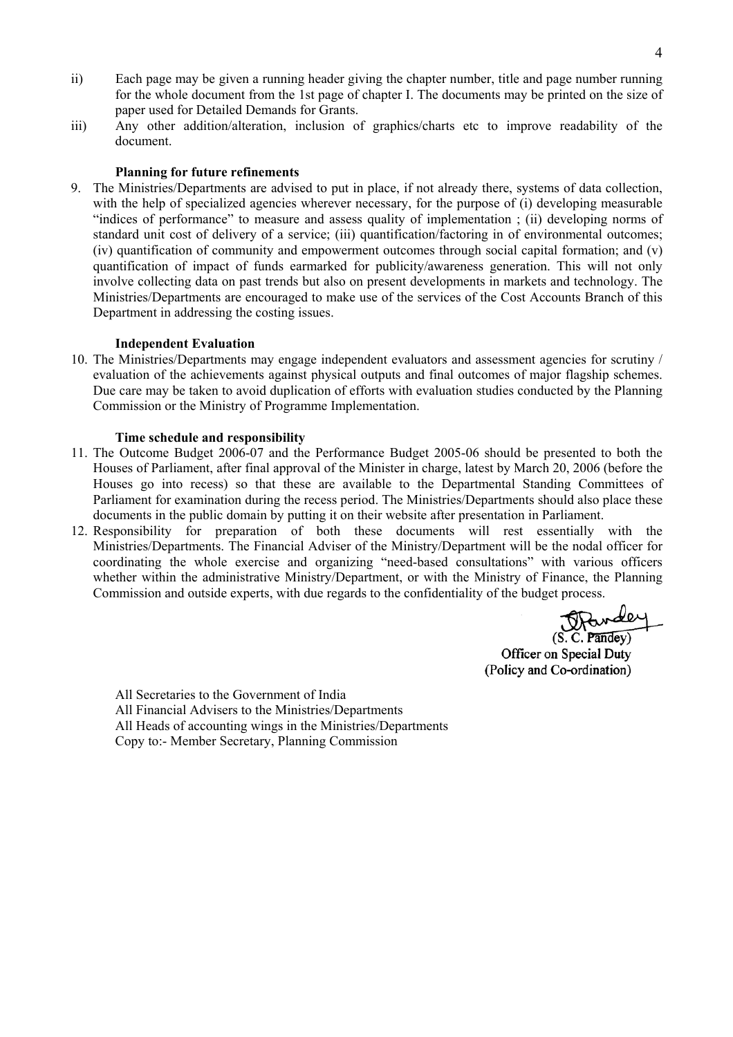- ii) Each page may be given a running header giving the chapter number, title and page number running for the whole document from the 1st page of chapter I. The documents may be printed on the size of paper used for Detailed Demands for Grants.
- iii) Any other addition/alteration, inclusion of graphics/charts etc to improve readability of the document.

## **Planning for future refinements**

9. The Ministries/Departments are advised to put in place, if not already there, systems of data collection, with the help of specialized agencies wherever necessary, for the purpose of (i) developing measurable "indices of performance" to measure and assess quality of implementation ; (ii) developing norms of standard unit cost of delivery of a service; (iii) quantification/factoring in of environmental outcomes; (iv) quantification of community and empowerment outcomes through social capital formation; and (v) quantification of impact of funds earmarked for publicity/awareness generation. This will not only involve collecting data on past trends but also on present developments in markets and technology. The Ministries/Departments are encouraged to make use of the services of the Cost Accounts Branch of this Department in addressing the costing issues.

#### **Independent Evaluation**

10. The Ministries/Departments may engage independent evaluators and assessment agencies for scrutiny / evaluation of the achievements against physical outputs and final outcomes of major flagship schemes. Due care may be taken to avoid duplication of efforts with evaluation studies conducted by the Planning Commission or the Ministry of Programme Implementation.

## **Time schedule and responsibility**

- 11. The Outcome Budget 2006-07 and the Performance Budget 2005-06 should be presented to both the Houses of Parliament, after final approval of the Minister in charge, latest by March 20, 2006 (before the Houses go into recess) so that these are available to the Departmental Standing Committees of Parliament for examination during the recess period. The Ministries/Departments should also place these documents in the public domain by putting it on their website after presentation in Parliament.
- 12. Responsibility for preparation of both these documents will rest essentially with the Ministries/Departments. The Financial Adviser of the Ministry/Department will be the nodal officer for coordinating the whole exercise and organizing "need-based consultations" with various officers whether within the administrative Ministry/Department, or with the Ministry of Finance, the Planning Commission and outside experts, with due regards to the confidentiality of the budget process.

Pardey  $(S. C. Pandev)$ 

Officer on Special Duty (Policy and Co-ordination)

All Secretaries to the Government of India All Financial Advisers to the Ministries/Departments All Heads of accounting wings in the Ministries/Departments Copy to:- Member Secretary, Planning Commission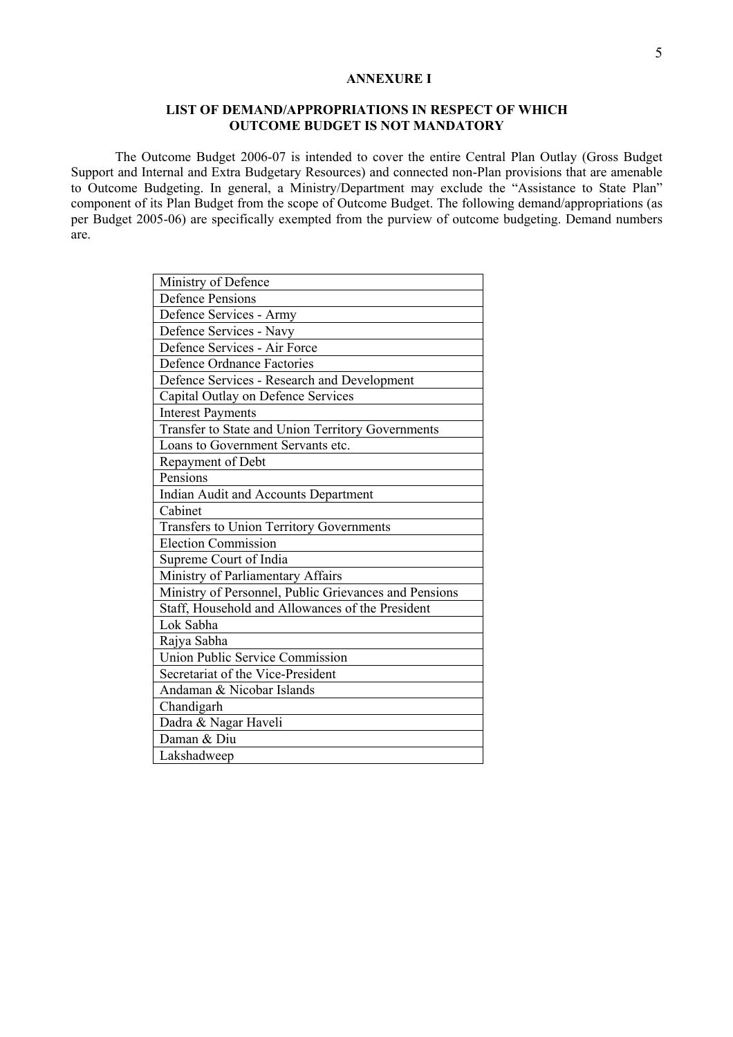## **ANNEXURE I**

## **LIST OF DEMAND/APPROPRIATIONS IN RESPECT OF WHICH OUTCOME BUDGET IS NOT MANDATORY**

The Outcome Budget 2006-07 is intended to cover the entire Central Plan Outlay (Gross Budget Support and Internal and Extra Budgetary Resources) and connected non-Plan provisions that are amenable to Outcome Budgeting. In general, a Ministry/Department may exclude the "Assistance to State Plan" component of its Plan Budget from the scope of Outcome Budget. The following demand/appropriations (as per Budget 2005-06) are specifically exempted from the purview of outcome budgeting. Demand numbers are.

| Ministry of Defence                                   |
|-------------------------------------------------------|
| <b>Defence Pensions</b>                               |
| Defence Services - Army                               |
| Defence Services - Navy                               |
| Defence Services - Air Force                          |
| Defence Ordnance Factories                            |
| Defence Services - Research and Development           |
| Capital Outlay on Defence Services                    |
| <b>Interest Payments</b>                              |
| Transfer to State and Union Territory Governments     |
| Loans to Government Servants etc.                     |
| Repayment of Debt                                     |
| Pensions                                              |
| Indian Audit and Accounts Department                  |
| Cabinet                                               |
| Transfers to Union Territory Governments              |
| <b>Election Commission</b>                            |
| Supreme Court of India                                |
| Ministry of Parliamentary Affairs                     |
| Ministry of Personnel, Public Grievances and Pensions |
| Staff, Household and Allowances of the President      |
| Lok Sabha                                             |
| Rajya Sabha                                           |
| Union Public Service Commission                       |
| Secretariat of the Vice-President                     |
| Andaman & Nicobar Islands                             |
| Chandigarh                                            |
| Dadra & Nagar Haveli                                  |
| Daman & Diu                                           |
| Lakshadweep                                           |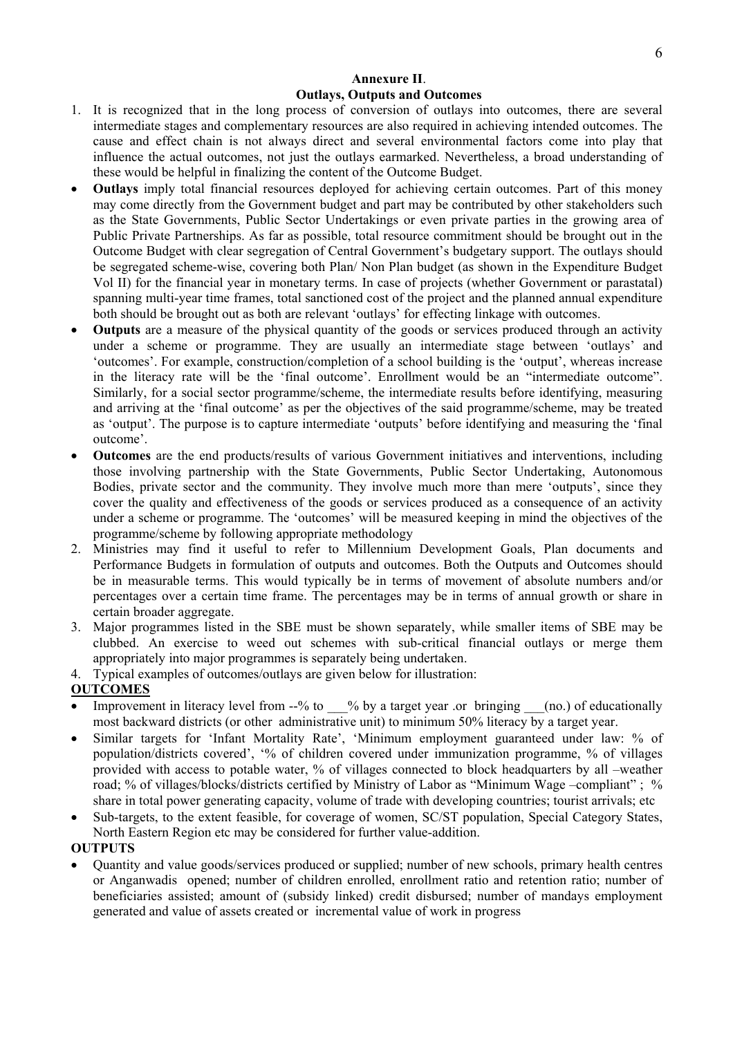# **Annexure II**. **Outlays, Outputs and Outcomes**

- 1. It is recognized that in the long process of conversion of outlays into outcomes, there are several intermediate stages and complementary resources are also required in achieving intended outcomes. The cause and effect chain is not always direct and several environmental factors come into play that influence the actual outcomes, not just the outlays earmarked. Nevertheless, a broad understanding of these would be helpful in finalizing the content of the Outcome Budget.
- **Outlays** imply total financial resources deployed for achieving certain outcomes. Part of this money may come directly from the Government budget and part may be contributed by other stakeholders such as the State Governments, Public Sector Undertakings or even private parties in the growing area of Public Private Partnerships. As far as possible, total resource commitment should be brought out in the Outcome Budget with clear segregation of Central Government's budgetary support. The outlays should be segregated scheme-wise, covering both Plan/ Non Plan budget (as shown in the Expenditure Budget Vol II) for the financial year in monetary terms. In case of projects (whether Government or parastatal) spanning multi-year time frames, total sanctioned cost of the project and the planned annual expenditure both should be brought out as both are relevant 'outlays' for effecting linkage with outcomes.
- **Outputs** are a measure of the physical quantity of the goods or services produced through an activity under a scheme or programme. They are usually an intermediate stage between 'outlays' and 'outcomes'. For example, construction/completion of a school building is the 'output', whereas increase in the literacy rate will be the 'final outcome'. Enrollment would be an "intermediate outcome". Similarly, for a social sector programme/scheme, the intermediate results before identifying, measuring and arriving at the 'final outcome' as per the objectives of the said programme/scheme, may be treated as 'output'. The purpose is to capture intermediate 'outputs' before identifying and measuring the 'final outcome'.
- **Outcomes** are the end products/results of various Government initiatives and interventions, including those involving partnership with the State Governments, Public Sector Undertaking, Autonomous Bodies, private sector and the community. They involve much more than mere 'outputs', since they cover the quality and effectiveness of the goods or services produced as a consequence of an activity under a scheme or programme. The 'outcomes' will be measured keeping in mind the objectives of the programme/scheme by following appropriate methodology
- 2. Ministries may find it useful to refer to Millennium Development Goals, Plan documents and Performance Budgets in formulation of outputs and outcomes. Both the Outputs and Outcomes should be in measurable terms. This would typically be in terms of movement of absolute numbers and/or percentages over a certain time frame. The percentages may be in terms of annual growth or share in certain broader aggregate.
- 3. Major programmes listed in the SBE must be shown separately, while smaller items of SBE may be clubbed. An exercise to weed out schemes with sub-critical financial outlays or merge them appropriately into major programmes is separately being undertaken.
- 4. Typical examples of outcomes/outlays are given below for illustration:

# **OUTCOMES**

- Improvement in literacy level from --% to  $\%$  by a target year .or bringing (no.) of educationally most backward districts (or other administrative unit) to minimum 50% literacy by a target year.
- Similar targets for 'Infant Mortality Rate', 'Minimum employment guaranteed under law: % of population/districts covered', '% of children covered under immunization programme, % of villages provided with access to potable water, % of villages connected to block headquarters by all –weather road; % of villages/blocks/districts certified by Ministry of Labor as "Minimum Wage –compliant" ; % share in total power generating capacity, volume of trade with developing countries; tourist arrivals; etc
- Sub-targets, to the extent feasible, for coverage of women, SC/ST population, Special Category States, North Eastern Region etc may be considered for further value-addition.

# **OUTPUTS**

• Quantity and value goods/services produced or supplied; number of new schools, primary health centres or Anganwadis opened; number of children enrolled, enrollment ratio and retention ratio; number of beneficiaries assisted; amount of (subsidy linked) credit disbursed; number of mandays employment generated and value of assets created or incremental value of work in progress